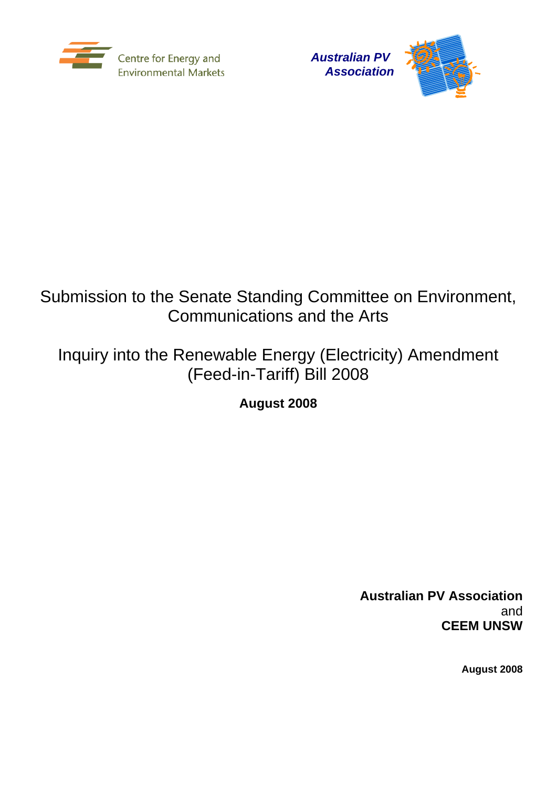



# Submission to the Senate Standing Committee on Environment, Communications and the Arts

# Inquiry into the Renewable Energy (Electricity) Amendment (Feed-in-Tariff) Bill 2008

**August 2008** 

**Australian PV Association**  and **CEEM UNSW** 

**August 2008**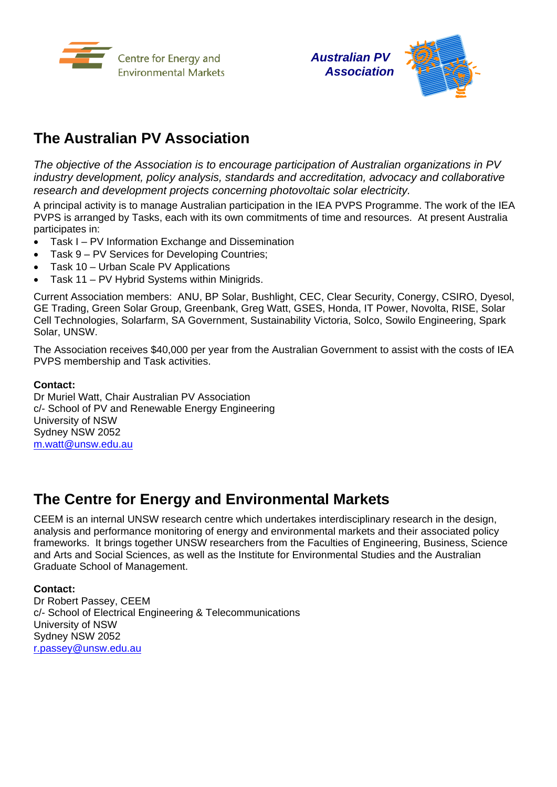



# **The Australian PV Association**

*The objective of the Association is to encourage participation of Australian organizations in PV industry development, policy analysis, standards and accreditation, advocacy and collaborative research and development projects concerning photovoltaic solar electricity.* 

A principal activity is to manage Australian participation in the IEA PVPS Programme. The work of the IEA PVPS is arranged by Tasks, each with its own commitments of time and resources. At present Australia participates in:

- Task I PV Information Exchange and Dissemination
- Task 9 PV Services for Developing Countries;
- Task 10 Urban Scale PV Applications
- Task 11 PV Hybrid Systems within Minigrids.

Current Association members: ANU, BP Solar, Bushlight, CEC, Clear Security, Conergy, CSIRO, Dyesol, GE Trading, Green Solar Group, Greenbank, Greg Watt, GSES, Honda, IT Power, Novolta, RISE, Solar Cell Technologies, Solarfarm, SA Government, Sustainability Victoria, Solco, Sowilo Engineering, Spark Solar, UNSW.

The Association receives \$40,000 per year from the Australian Government to assist with the costs of IEA PVPS membership and Task activities.

### **Contact:**

Dr Muriel Watt, Chair Australian PV Association c/- School of PV and Renewable Energy Engineering University of NSW Sydney NSW 2052 m.watt@unsw.edu.au

# **The Centre for Energy and Environmental Markets**

CEEM is an internal UNSW research centre which undertakes interdisciplinary research in the design, analysis and performance monitoring of energy and environmental markets and their associated policy frameworks. It brings together UNSW researchers from the Faculties of Engineering, Business, Science and Arts and Social Sciences, as well as the Institute for Environmental Studies and the Australian Graduate School of Management.

## **Contact:**

Dr Robert Passey, CEEM c/- School of Electrical Engineering & Telecommunications University of NSW Sydney NSW 2052 r.passey@unsw.edu.au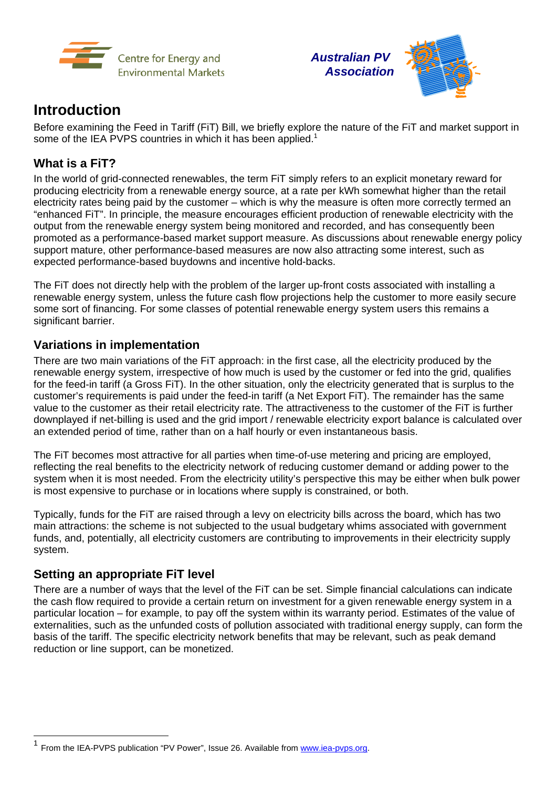



# **Introduction**

Before examining the Feed in Tariff (FiT) Bill, we briefly explore the nature of the FiT and market support in some of the IEA PVPS countries in which it has been applied.<sup>1</sup>

# **What is a FiT?**

In the world of grid-connected renewables, the term FiT simply refers to an explicit monetary reward for producing electricity from a renewable energy source, at a rate per kWh somewhat higher than the retail electricity rates being paid by the customer – which is why the measure is often more correctly termed an "enhanced FiT". In principle, the measure encourages efficient production of renewable electricity with the output from the renewable energy system being monitored and recorded, and has consequently been promoted as a performance-based market support measure. As discussions about renewable energy policy support mature, other performance-based measures are now also attracting some interest, such as expected performance-based buydowns and incentive hold-backs.

The FiT does not directly help with the problem of the larger up-front costs associated with installing a renewable energy system, unless the future cash flow projections help the customer to more easily secure some sort of financing. For some classes of potential renewable energy system users this remains a significant barrier.

# **Variations in implementation**

There are two main variations of the FiT approach: in the first case, all the electricity produced by the renewable energy system, irrespective of how much is used by the customer or fed into the grid, qualifies for the feed-in tariff (a Gross FiT). In the other situation, only the electricity generated that is surplus to the customer's requirements is paid under the feed-in tariff (a Net Export FiT). The remainder has the same value to the customer as their retail electricity rate. The attractiveness to the customer of the FiT is further downplayed if net-billing is used and the grid import / renewable electricity export balance is calculated over an extended period of time, rather than on a half hourly or even instantaneous basis.

The FiT becomes most attractive for all parties when time-of-use metering and pricing are employed, reflecting the real benefits to the electricity network of reducing customer demand or adding power to the system when it is most needed. From the electricity utility's perspective this may be either when bulk power is most expensive to purchase or in locations where supply is constrained, or both.

Typically, funds for the FiT are raised through a levy on electricity bills across the board, which has two main attractions: the scheme is not subjected to the usual budgetary whims associated with government funds, and, potentially, all electricity customers are contributing to improvements in their electricity supply system.

## **Setting an appropriate FiT level**

-

There are a number of ways that the level of the FiT can be set. Simple financial calculations can indicate the cash flow required to provide a certain return on investment for a given renewable energy system in a particular location – for example, to pay off the system within its warranty period. Estimates of the value of externalities, such as the unfunded costs of pollution associated with traditional energy supply, can form the basis of the tariff. The specific electricity network benefits that may be relevant, such as peak demand reduction or line support, can be monetized.

From the IEA-PVPS publication "PV Power", Issue 26. Available from www.iea-pvps.org.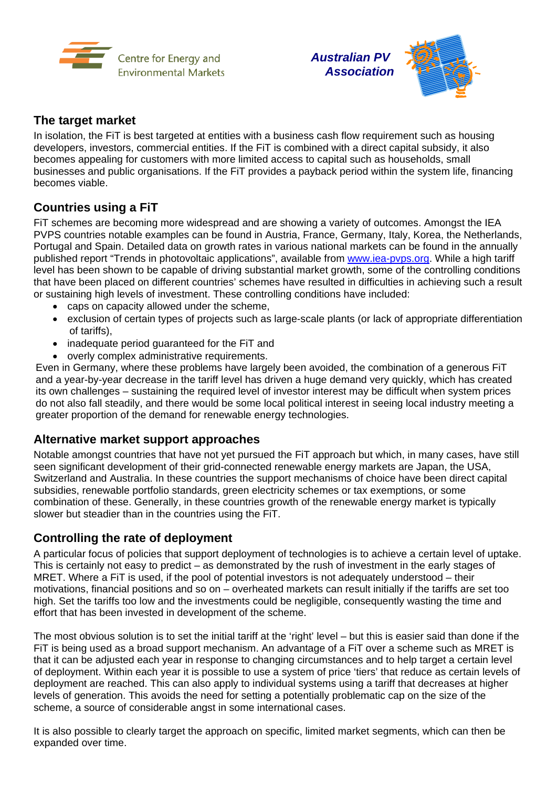



## **The target market**

In isolation, the FiT is best targeted at entities with a business cash flow requirement such as housing developers, investors, commercial entities. If the FiT is combined with a direct capital subsidy, it also becomes appealing for customers with more limited access to capital such as households, small businesses and public organisations. If the FiT provides a payback period within the system life, financing becomes viable.

# **Countries using a FiT**

FiT schemes are becoming more widespread and are showing a variety of outcomes. Amongst the IEA PVPS countries notable examples can be found in Austria, France, Germany, Italy, Korea, the Netherlands, Portugal and Spain. Detailed data on growth rates in various national markets can be found in the annually published report "Trends in photovoltaic applications", available from www.iea-pvps.org. While a high tariff level has been shown to be capable of driving substantial market growth, some of the controlling conditions that have been placed on different countries' schemes have resulted in difficulties in achieving such a result or sustaining high levels of investment. These controlling conditions have included:

- caps on capacity allowed under the scheme.
- exclusion of certain types of projects such as large-scale plants (or lack of appropriate differentiation of tariffs),
- inadequate period quaranteed for the FiT and
- overly complex administrative requirements.

Even in Germany, where these problems have largely been avoided, the combination of a generous FiT and a year-by-year decrease in the tariff level has driven a huge demand very quickly, which has created its own challenges – sustaining the required level of investor interest may be difficult when system prices do not also fall steadily, and there would be some local political interest in seeing local industry meeting a greater proportion of the demand for renewable energy technologies.

## **Alternative market support approaches**

Notable amongst countries that have not yet pursued the FiT approach but which, in many cases, have still seen significant development of their grid-connected renewable energy markets are Japan, the USA, Switzerland and Australia. In these countries the support mechanisms of choice have been direct capital subsidies, renewable portfolio standards, green electricity schemes or tax exemptions, or some combination of these. Generally, in these countries growth of the renewable energy market is typically slower but steadier than in the countries using the FiT.

## **Controlling the rate of deployment**

A particular focus of policies that support deployment of technologies is to achieve a certain level of uptake. This is certainly not easy to predict – as demonstrated by the rush of investment in the early stages of MRET. Where a FiT is used, if the pool of potential investors is not adequately understood – their motivations, financial positions and so on – overheated markets can result initially if the tariffs are set too high. Set the tariffs too low and the investments could be negligible, consequently wasting the time and effort that has been invested in development of the scheme.

The most obvious solution is to set the initial tariff at the 'right' level – but this is easier said than done if the FiT is being used as a broad support mechanism. An advantage of a FiT over a scheme such as MRET is that it can be adjusted each year in response to changing circumstances and to help target a certain level of deployment. Within each year it is possible to use a system of price 'tiers' that reduce as certain levels of deployment are reached. This can also apply to individual systems using a tariff that decreases at higher levels of generation. This avoids the need for setting a potentially problematic cap on the size of the scheme, a source of considerable angst in some international cases.

It is also possible to clearly target the approach on specific, limited market segments, which can then be expanded over time.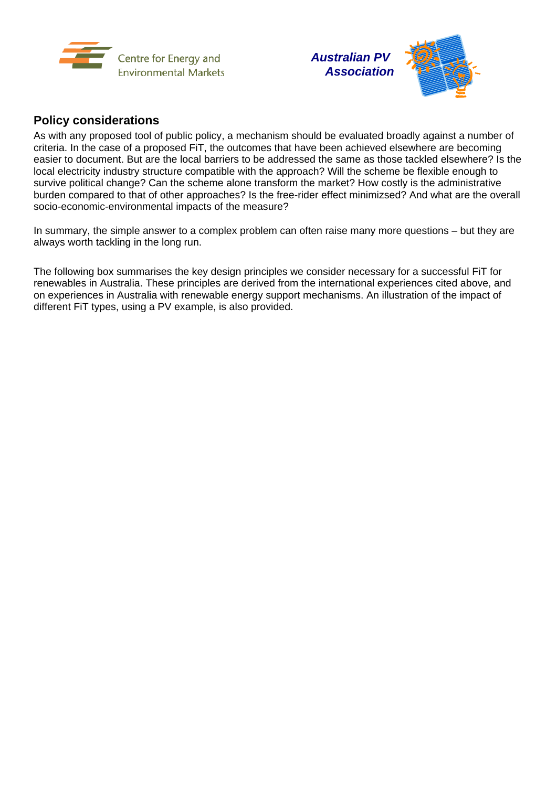



# **Policy considerations**

As with any proposed tool of public policy, a mechanism should be evaluated broadly against a number of criteria. In the case of a proposed FiT, the outcomes that have been achieved elsewhere are becoming easier to document. But are the local barriers to be addressed the same as those tackled elsewhere? Is the local electricity industry structure compatible with the approach? Will the scheme be flexible enough to survive political change? Can the scheme alone transform the market? How costly is the administrative burden compared to that of other approaches? Is the free-rider effect minimizsed? And what are the overall socio-economic-environmental impacts of the measure?

In summary, the simple answer to a complex problem can often raise many more questions – but they are always worth tackling in the long run.

The following box summarises the key design principles we consider necessary for a successful FiT for renewables in Australia. These principles are derived from the international experiences cited above, and on experiences in Australia with renewable energy support mechanisms. An illustration of the impact of different FiT types, using a PV example, is also provided.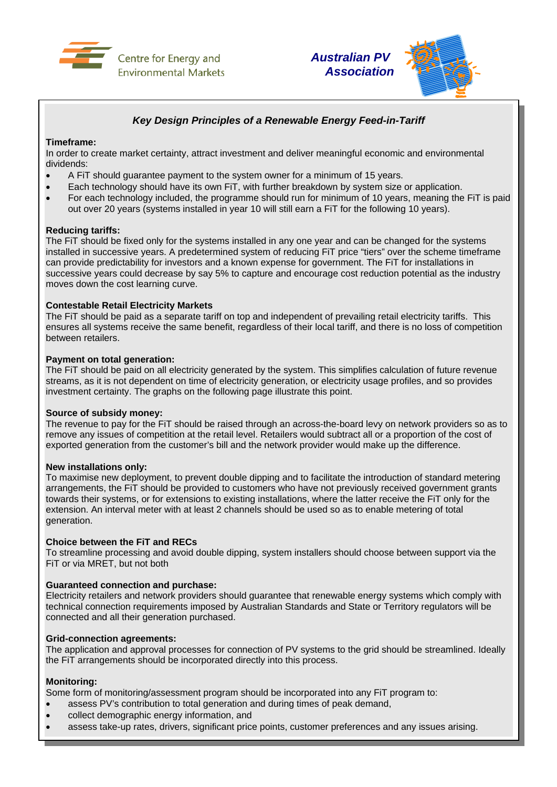



## *Key Design Principles of a Renewable Energy Feed-in-Tariff*

### **Timeframe:**

In order to create market certainty, attract investment and deliver meaningful economic and environmental dividends:

- A FiT should guarantee payment to the system owner for a minimum of 15 years.
- Each technology should have its own FiT, with further breakdown by system size or application.
- For each technology included, the programme should run for minimum of 10 years, meaning the FiT is paid out over 20 years (systems installed in year 10 will still earn a FiT for the following 10 years).

### **Reducing tariffs:**

The FiT should be fixed only for the systems installed in any one year and can be changed for the systems installed in successive years. A predetermined system of reducing FiT price "tiers" over the scheme timeframe can provide predictability for investors and a known expense for government. The FiT for installations in successive years could decrease by say 5% to capture and encourage cost reduction potential as the industry moves down the cost learning curve.

#### **Contestable Retail Electricity Markets**

The FiT should be paid as a separate tariff on top and independent of prevailing retail electricity tariffs. This ensures all systems receive the same benefit, regardless of their local tariff, and there is no loss of competition between retailers.

#### **Payment on total generation:**

The FiT should be paid on all electricity generated by the system. This simplifies calculation of future revenue streams, as it is not dependent on time of electricity generation, or electricity usage profiles, and so provides investment certainty. The graphs on the following page illustrate this point.

#### **Source of subsidy money:**

The revenue to pay for the FiT should be raised through an across-the-board levy on network providers so as to remove any issues of competition at the retail level. Retailers would subtract all or a proportion of the cost of exported generation from the customer's bill and the network provider would make up the difference.

### **New installations only:**

To maximise new deployment, to prevent double dipping and to facilitate the introduction of standard metering arrangements, the FiT should be provided to customers who have not previously received government grants towards their systems, or for extensions to existing installations, where the latter receive the FiT only for the extension. An interval meter with at least 2 channels should be used so as to enable metering of total generation.

#### **Choice between the FiT and RECs**

To streamline processing and avoid double dipping, system installers should choose between support via the FiT or via MRET, but not both

### **Guaranteed connection and purchase:**

Electricity retailers and network providers should guarantee that renewable energy systems which comply with technical connection requirements imposed by Australian Standards and State or Territory regulators will be connected and all their generation purchased.

## **Grid-connection agreements:**

The application and approval processes for connection of PV systems to the grid should be streamlined. Ideally the FiT arrangements should be incorporated directly into this process.

### **Monitoring:**

Some form of monitoring/assessment program should be incorporated into any FiT program to:

- assess PV's contribution to total generation and during times of peak demand,
- collect demographic energy information, and
- assess take-up rates, drivers, significant price points, customer preferences and any issues arising.